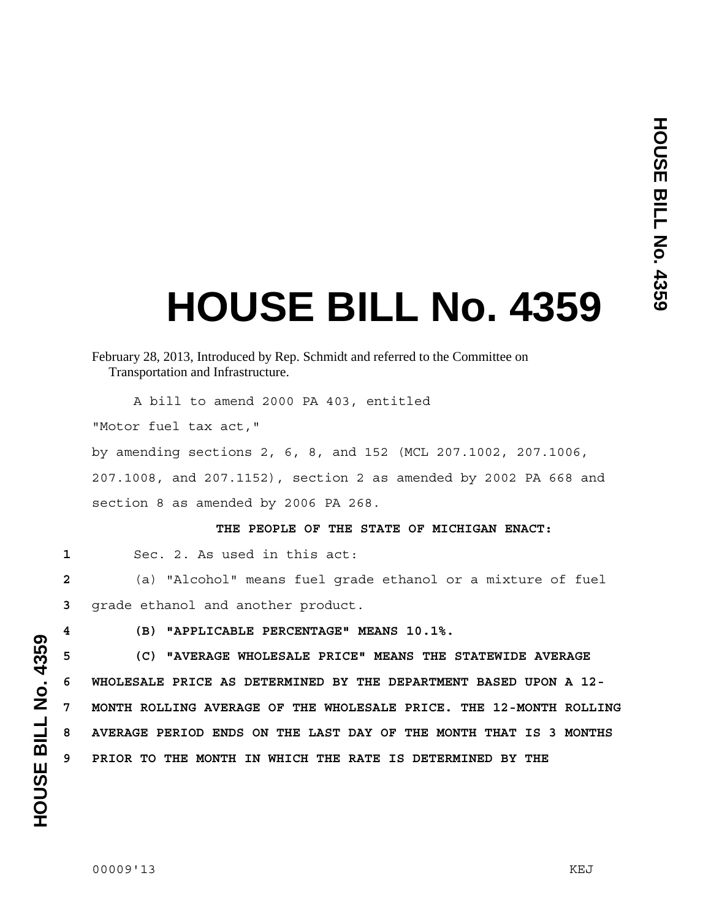# **HOUSE BILL No. 4359**

# February 28, 2013, Introduced by Rep. Schmidt and referred to the Committee on Transportation and Infrastructure.

A bill to amend 2000 PA 403, entitled

"Motor fuel tax act,"

by amending sections 2, 6, 8, and 152 (MCL 207.1002, 207.1006, 207.1008, and 207.1152), section 2 as amended by 2002 PA 668 and section 8 as amended by 2006 PA 268.

#### **THE PEOPLE OF THE STATE OF MICHIGAN ENACT:**

**1** Sec. 2. As used in this act:

**2** (a) "Alcohol" means fuel grade ethanol or a mixture of fuel **3** grade ethanol and another product.

**4 (B) "APPLICABLE PERCENTAGE" MEANS 10.1%.** 

**5 (C) "AVERAGE WHOLESALE PRICE" MEANS THE STATEWIDE AVERAGE 6 WHOLESALE PRICE AS DETERMINED BY THE DEPARTMENT BASED UPON A 12- 7 MONTH ROLLING AVERAGE OF THE WHOLESALE PRICE. THE 12-MONTH ROLLING 8 AVERAGE PERIOD ENDS ON THE LAST DAY OF THE MONTH THAT IS 3 MONTHS 9 PRIOR TO THE MONTH IN WHICH THE RATE IS DETERMINED BY THE**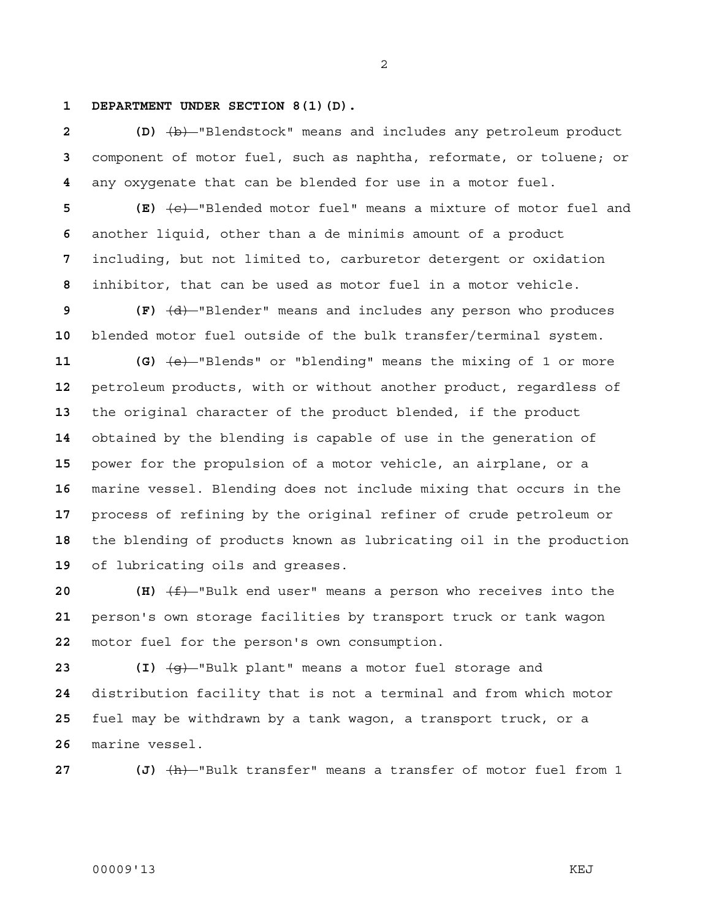#### **1 DEPARTMENT UNDER SECTION 8(1)(D).**

**2 (D)** (b) "Blendstock" means and includes any petroleum product component of motor fuel, such as naphtha, reformate, or toluene; or any oxygenate that can be blended for use in a motor fuel.

**5 (E)** (c) "Blended motor fuel" means a mixture of motor fuel and another liquid, other than a de minimis amount of a product including, but not limited to, carburetor detergent or oxidation inhibitor, that can be used as motor fuel in a motor vehicle.

**9 (F)** (d) "Blender" means and includes any person who produces blended motor fuel outside of the bulk transfer/terminal system.

**11 (G)** (e) "Blends" or "blending" means the mixing of 1 or more petroleum products, with or without another product, regardless of the original character of the product blended, if the product obtained by the blending is capable of use in the generation of power for the propulsion of a motor vehicle, an airplane, or a marine vessel. Blending does not include mixing that occurs in the process of refining by the original refiner of crude petroleum or the blending of products known as lubricating oil in the production of lubricating oils and greases.

**20 (H)**  $\left(\frac{f}{f}\right)$ -"Bulk end user" means a person who receives into the person's own storage facilities by transport truck or tank wagon motor fuel for the person's own consumption.

**23 (I)** (g) "Bulk plant" means a motor fuel storage and distribution facility that is not a terminal and from which motor fuel may be withdrawn by a tank wagon, a transport truck, or a marine vessel.

**27 (J)** (h) "Bulk transfer" means a transfer of motor fuel from 1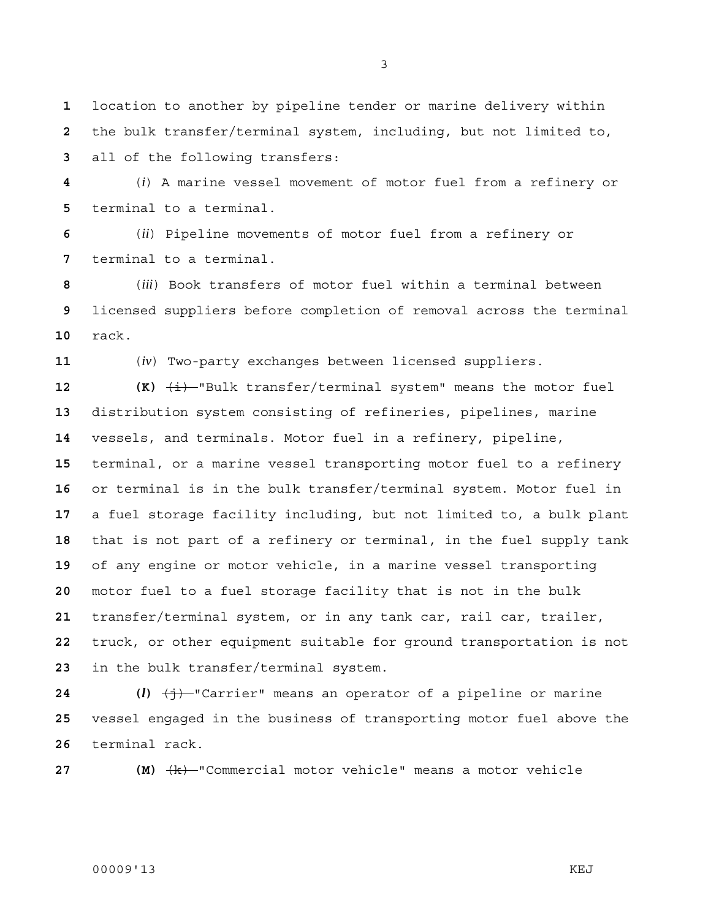location to another by pipeline tender or marine delivery within the bulk transfer/terminal system, including, but not limited to, all of the following transfers:

(*i*) A marine vessel movement of motor fuel from a refinery or terminal to a terminal.

(*ii*) Pipeline movements of motor fuel from a refinery or terminal to a terminal.

(*iii*) Book transfers of motor fuel within a terminal between licensed suppliers before completion of removal across the terminal rack.

(*iv*) Two-party exchanges between licensed suppliers.

 **(K)**  $\overline{\text{4i}}$  "Bulk transfer/terminal system" means the motor fuel distribution system consisting of refineries, pipelines, marine vessels, and terminals. Motor fuel in a refinery, pipeline, terminal, or a marine vessel transporting motor fuel to a refinery or terminal is in the bulk transfer/terminal system. Motor fuel in a fuel storage facility including, but not limited to, a bulk plant that is not part of a refinery or terminal, in the fuel supply tank of any engine or motor vehicle, in a marine vessel transporting motor fuel to a fuel storage facility that is not in the bulk transfer/terminal system, or in any tank car, rail car, trailer, truck, or other equipment suitable for ground transportation is not in the bulk transfer/terminal system.

**24 (***l***)** (j) "Carrier" means an operator of a pipeline or marine vessel engaged in the business of transporting motor fuel above the terminal rack.

**27 (M)**  $\frac{1}{k}$  "Commercial motor vehicle" means a motor vehicle

## 00009'13 KEJ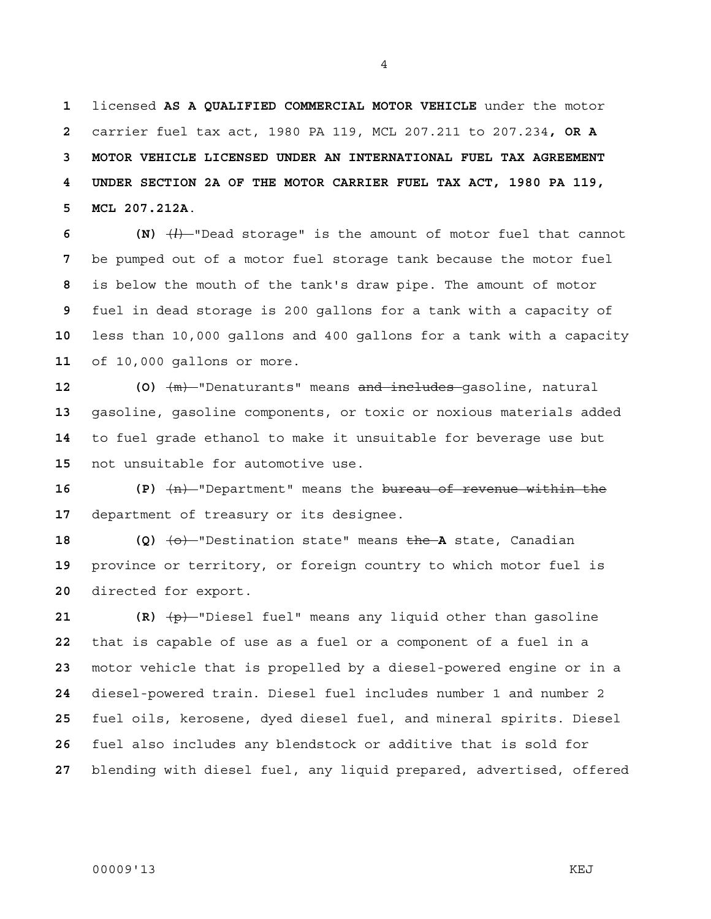licensed **AS A QUALIFIED COMMERCIAL MOTOR VEHICLE** under the motor carrier fuel tax act, 1980 PA 119, MCL 207.211 to 207.234**, OR A 3 MOTOR VEHICLE LICENSED UNDER AN INTERNATIONAL FUEL TAX AGREEMENT 4 UNDER SECTION 2A OF THE MOTOR CARRIER FUEL TAX ACT, 1980 PA 119, 5 MCL 207.212A**.

**6 (N)** (*l*) "Dead storage" is the amount of motor fuel that cannot be pumped out of a motor fuel storage tank because the motor fuel is below the mouth of the tank's draw pipe. The amount of motor fuel in dead storage is 200 gallons for a tank with a capacity of less than 10,000 gallons and 400 gallons for a tank with a capacity of 10,000 gallons or more.

**12 (O)** (m) "Denaturants" means and includes gasoline, natural gasoline, gasoline components, or toxic or noxious materials added to fuel grade ethanol to make it unsuitable for beverage use but not unsuitable for automotive use.

**16 (P)** (n) "Department" means the bureau of revenue within the department of treasury or its designee.

**18 (Q)** (o) "Destination state" means the **A** state, Canadian province or territory, or foreign country to which motor fuel is directed for export.

**21 (R)** (p) "Diesel fuel" means any liquid other than gasoline that is capable of use as a fuel or a component of a fuel in a motor vehicle that is propelled by a diesel-powered engine or in a diesel-powered train. Diesel fuel includes number 1 and number 2 fuel oils, kerosene, dyed diesel fuel, and mineral spirits. Diesel fuel also includes any blendstock or additive that is sold for blending with diesel fuel, any liquid prepared, advertised, offered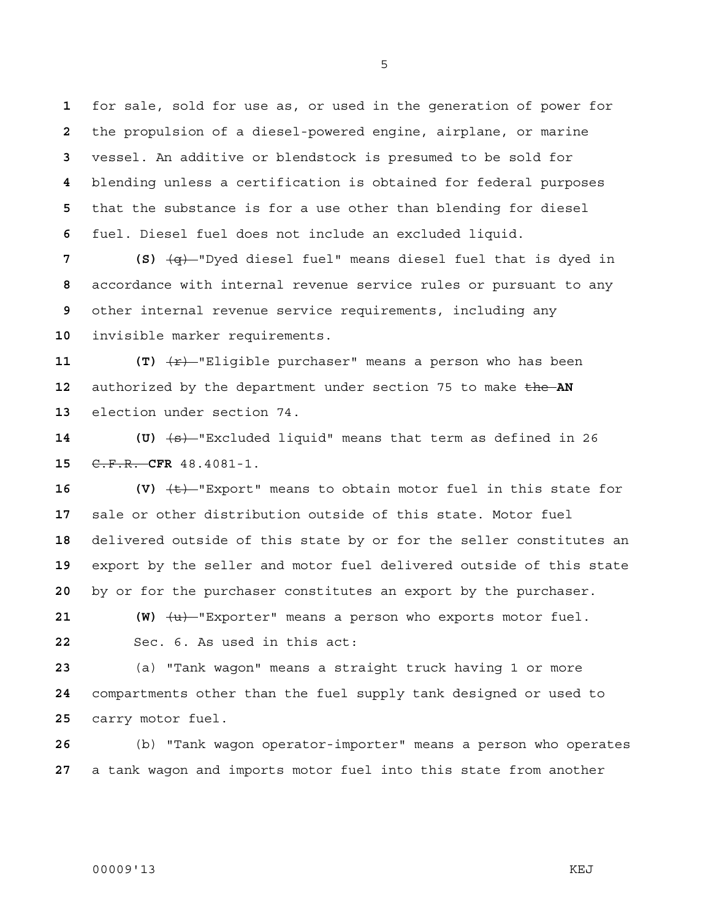for sale, sold for use as, or used in the generation of power for the propulsion of a diesel-powered engine, airplane, or marine vessel. An additive or blendstock is presumed to be sold for blending unless a certification is obtained for federal purposes that the substance is for a use other than blending for diesel fuel. Diesel fuel does not include an excluded liquid.

**7 (S)** (q) "Dyed diesel fuel" means diesel fuel that is dyed in accordance with internal revenue service rules or pursuant to any other internal revenue service requirements, including any invisible marker requirements.

**11 (T)**  $\overline{r}$  **(T)**  $\overline{r}$  Iligible purchaser" means a person who has been 12 authorized by the department under section 75 to make the AN election under section 74.

**14 (U)** (s) "Excluded liquid" means that term as defined in 26 C.F.R. **CFR** 48.4081-1.

**16 (V)** (t) "Export" means to obtain motor fuel in this state for sale or other distribution outside of this state. Motor fuel delivered outside of this state by or for the seller constitutes an export by the seller and motor fuel delivered outside of this state by or for the purchaser constitutes an export by the purchaser.

**21** (W)  $\left\langle u \right\rangle$ -"Exporter" means a person who exports motor fuel. Sec. 6. As used in this act:

(a) "Tank wagon" means a straight truck having 1 or more compartments other than the fuel supply tank designed or used to carry motor fuel.

(b) "Tank wagon operator-importer" means a person who operates a tank wagon and imports motor fuel into this state from another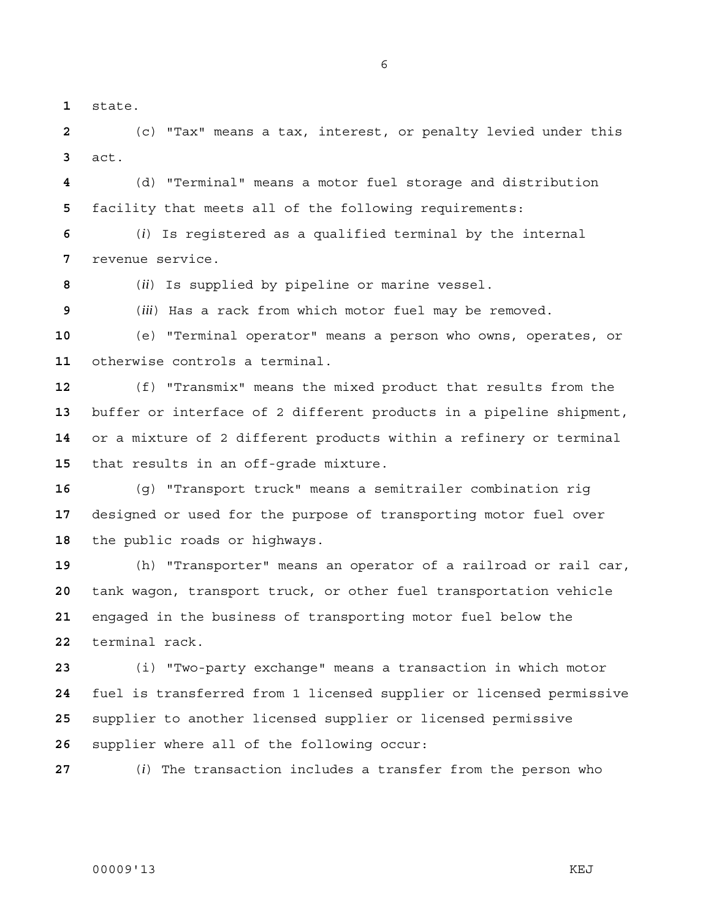state.

(c) "Tax" means a tax, interest, or penalty levied under this act.

(d) "Terminal" means a motor fuel storage and distribution facility that meets all of the following requirements:

(*i*) Is registered as a qualified terminal by the internal revenue service.

(*ii*) Is supplied by pipeline or marine vessel.

(*iii*) Has a rack from which motor fuel may be removed.

(e) "Terminal operator" means a person who owns, operates, or otherwise controls a terminal.

(f) "Transmix" means the mixed product that results from the buffer or interface of 2 different products in a pipeline shipment, or a mixture of 2 different products within a refinery or terminal that results in an off-grade mixture.

(g) "Transport truck" means a semitrailer combination rig designed or used for the purpose of transporting motor fuel over the public roads or highways.

(h) "Transporter" means an operator of a railroad or rail car, tank wagon, transport truck, or other fuel transportation vehicle engaged in the business of transporting motor fuel below the terminal rack.

(i) "Two-party exchange" means a transaction in which motor fuel is transferred from 1 licensed supplier or licensed permissive supplier to another licensed supplier or licensed permissive supplier where all of the following occur:

(*i*) The transaction includes a transfer from the person who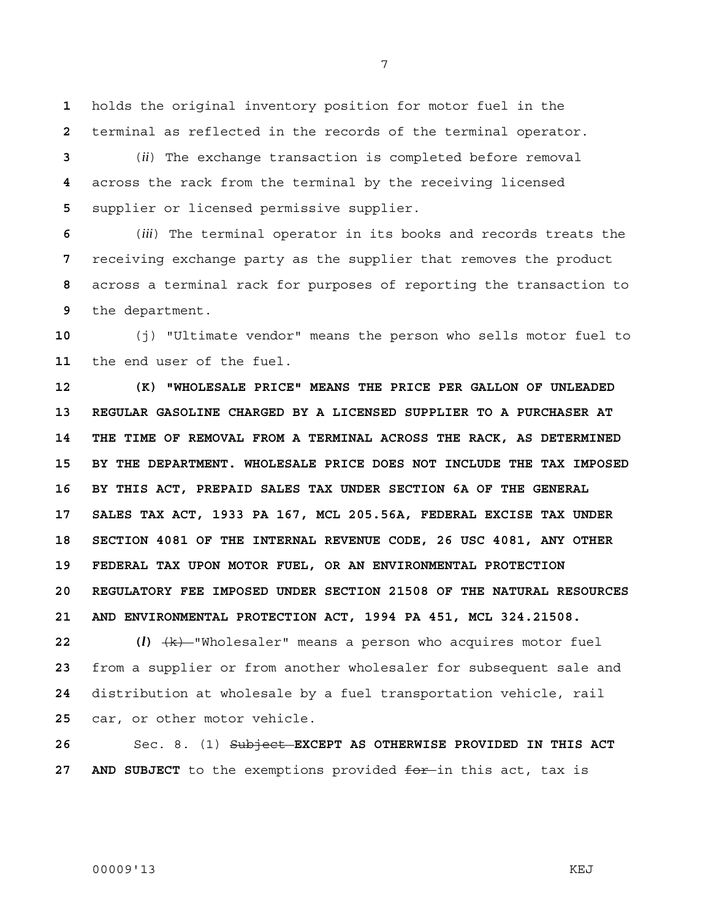**1** holds the original inventory position for motor fuel in the **2** terminal as reflected in the records of the terminal operator.

**3** (*ii*) The exchange transaction is completed before removal **4** across the rack from the terminal by the receiving licensed **5** supplier or licensed permissive supplier.

(*iii*) The terminal operator in its books and records treats the receiving exchange party as the supplier that removes the product across a terminal rack for purposes of reporting the transaction to the department.

**10** (j) "Ultimate vendor" means the person who sells motor fuel to **11** the end user of the fuel.

**12 (K) "WHOLESALE PRICE" MEANS THE PRICE PER GALLON OF UNLEADED 13 REGULAR GASOLINE CHARGED BY A LICENSED SUPPLIER TO A PURCHASER AT 14 THE TIME OF REMOVAL FROM A TERMINAL ACROSS THE RACK, AS DETERMINED 15 BY THE DEPARTMENT. WHOLESALE PRICE DOES NOT INCLUDE THE TAX IMPOSED 16 BY THIS ACT, PREPAID SALES TAX UNDER SECTION 6A OF THE GENERAL 17 SALES TAX ACT, 1933 PA 167, MCL 205.56A, FEDERAL EXCISE TAX UNDER 18 SECTION 4081 OF THE INTERNAL REVENUE CODE, 26 USC 4081, ANY OTHER 19 FEDERAL TAX UPON MOTOR FUEL, OR AN ENVIRONMENTAL PROTECTION 20 REGULATORY FEE IMPOSED UNDER SECTION 21508 OF THE NATURAL RESOURCES 21 AND ENVIRONMENTAL PROTECTION ACT, 1994 PA 451, MCL 324.21508.**

**22 (***l***)** (k) "Wholesaler" means a person who acquires motor fuel from a supplier or from another wholesaler for subsequent sale and distribution at wholesale by a fuel transportation vehicle, rail car, or other motor vehicle.

**26** Sec. 8. (1) Subject **EXCEPT AS OTHERWISE PROVIDED IN THIS ACT**  27 AND SUBJECT to the exemptions provided for in this act, tax is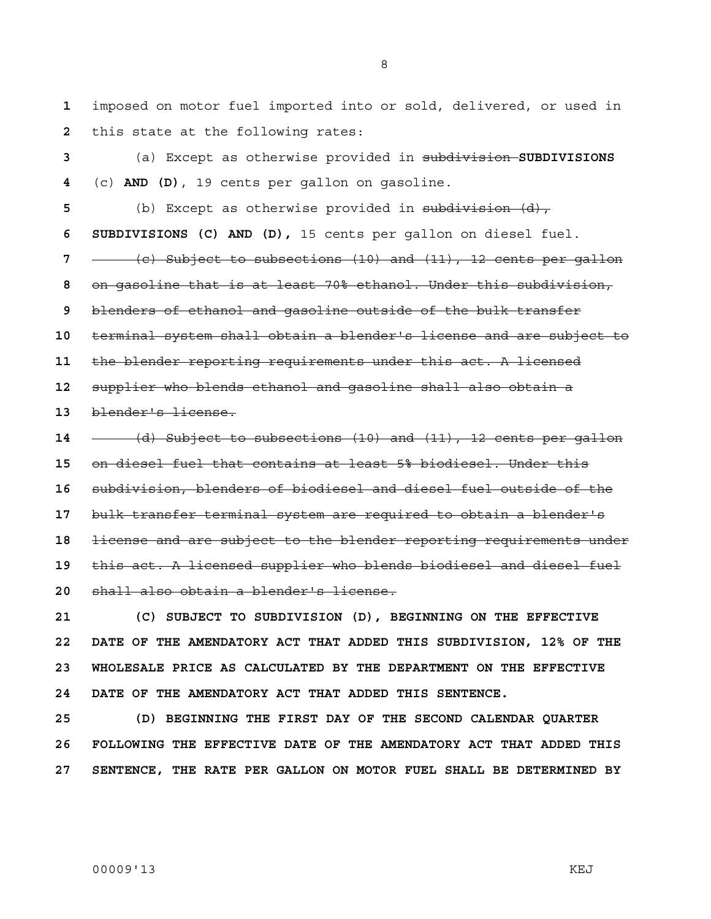imposed on motor fuel imported into or sold, delivered, or used in this state at the following rates:

(a) Except as otherwise provided in subdivision **SUBDIVISIONS**  (c) **AND (D)**, 19 cents per gallon on gasoline. (b) Except as otherwise provided in subdivision (d), **6 SUBDIVISIONS (C) AND (D),** 15 cents per gallon on diesel fuel. (c) Subject to subsections (10) and (11), 12 cents per gallon on gasoline that is at least 70% ethanol. Under this subdivision, blenders of ethanol and gasoline outside of the bulk transfer terminal system shall obtain a blender's license and are subject to the blender reporting requirements under this act. A licensed supplier who blends ethanol and gasoline shall also obtain a blender's license. (d) Subject to subsections (10) and (11), 12 cents per gallon on diesel fuel that contains at least 5% biodiesel. Under this subdivision, blenders of biodiesel and diesel fuel outside of the bulk transfer terminal system are required to obtain a blender's license and are subject to the blender reporting requirements under this act. A licensed supplier who blends biodiesel and diesel fuel shall also obtain a blender's license.

**21 (C) SUBJECT TO SUBDIVISION (D), BEGINNING ON THE EFFECTIVE 22 DATE OF THE AMENDATORY ACT THAT ADDED THIS SUBDIVISION, 12% OF THE 23 WHOLESALE PRICE AS CALCULATED BY THE DEPARTMENT ON THE EFFECTIVE 24 DATE OF THE AMENDATORY ACT THAT ADDED THIS SENTENCE.** 

**25 (D) BEGINNING THE FIRST DAY OF THE SECOND CALENDAR QUARTER 26 FOLLOWING THE EFFECTIVE DATE OF THE AMENDATORY ACT THAT ADDED THIS 27 SENTENCE, THE RATE PER GALLON ON MOTOR FUEL SHALL BE DETERMINED BY**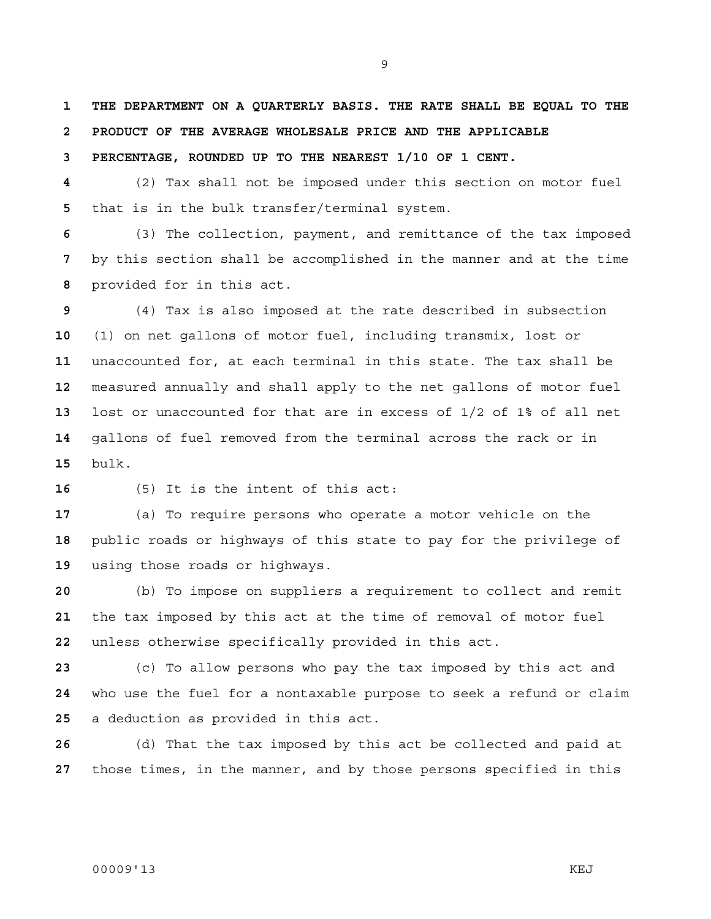**1 THE DEPARTMENT ON A QUARTERLY BASIS. THE RATE SHALL BE EQUAL TO THE 2 PRODUCT OF THE AVERAGE WHOLESALE PRICE AND THE APPLICABLE** 

**3 PERCENTAGE, ROUNDED UP TO THE NEAREST 1/10 OF 1 CENT.**

(2) Tax shall not be imposed under this section on motor fuel that is in the bulk transfer/terminal system.

(3) The collection, payment, and remittance of the tax imposed by this section shall be accomplished in the manner and at the time provided for in this act.

(4) Tax is also imposed at the rate described in subsection (1) on net gallons of motor fuel, including transmix, lost or unaccounted for, at each terminal in this state. The tax shall be measured annually and shall apply to the net gallons of motor fuel lost or unaccounted for that are in excess of 1/2 of 1% of all net gallons of fuel removed from the terminal across the rack or in bulk.

(5) It is the intent of this act:

(a) To require persons who operate a motor vehicle on the public roads or highways of this state to pay for the privilege of using those roads or highways.

(b) To impose on suppliers a requirement to collect and remit the tax imposed by this act at the time of removal of motor fuel unless otherwise specifically provided in this act.

(c) To allow persons who pay the tax imposed by this act and who use the fuel for a nontaxable purpose to seek a refund or claim a deduction as provided in this act.

(d) That the tax imposed by this act be collected and paid at those times, in the manner, and by those persons specified in this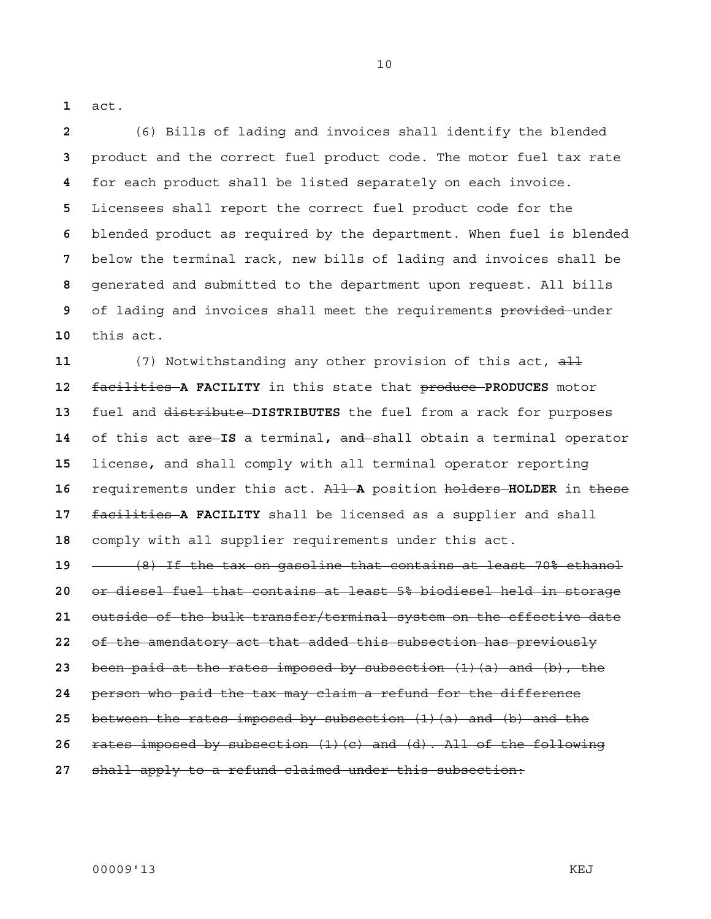act.

(6) Bills of lading and invoices shall identify the blended product and the correct fuel product code. The motor fuel tax rate for each product shall be listed separately on each invoice. Licensees shall report the correct fuel product code for the blended product as required by the department. When fuel is blended below the terminal rack, new bills of lading and invoices shall be generated and submitted to the department upon request. All bills of lading and invoices shall meet the requirements provided-under this act.

(7) Notwithstanding any other provision of this act, all facilities **A FACILITY** in this state that produce **PRODUCES** motor fuel and distribute **DISTRIBUTES** the fuel from a rack for purposes of this act are **IS** a terminal**,** and shall obtain a terminal operator license**,** and shall comply with all terminal operator reporting requirements under this act. All **A** position holders **HOLDER** in these facilities **A FACILITY** shall be licensed as a supplier and shall comply with all supplier requirements under this act.

(8) If the tax on gasoline that contains at least 70% ethanol or diesel fuel that contains at least 5% biodiesel held in storage outside of the bulk transfer/terminal system on the effective date of the amendatory act that added this subsection has previously been paid at the rates imposed by subsection (1)(a) and (b), the person who paid the tax may claim a refund for the difference between the rates imposed by subsection (1)(a) and (b) and the rates imposed by subsection (1)(c) and (d). All of the following shall apply to a refund claimed under this subsection: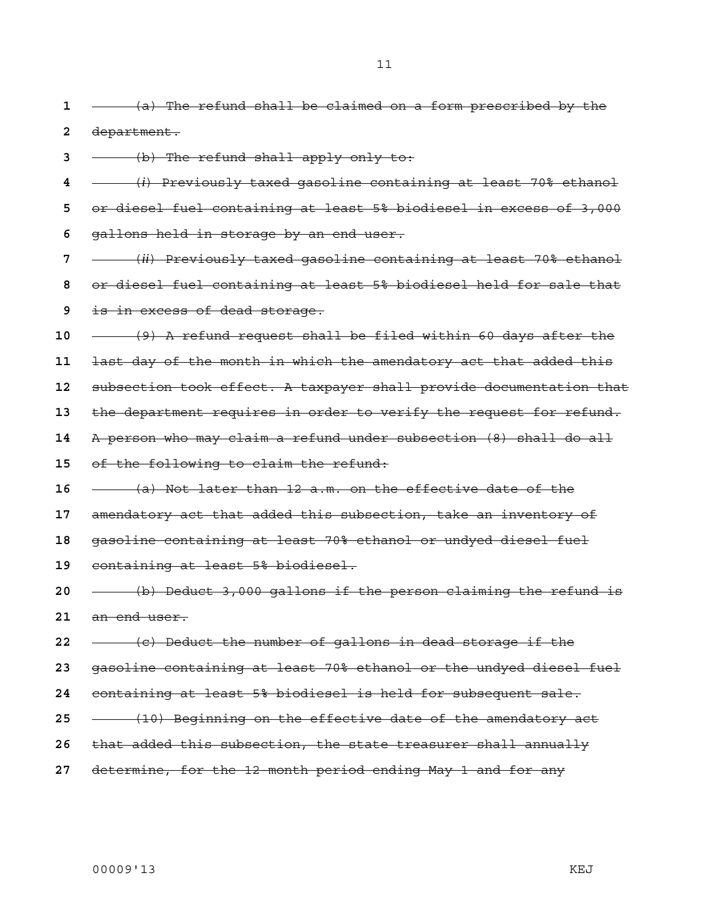00009'13 KEJ is in excess of dead storage. (9) A refund request shall be filed within 60 days after the last day of the month in which the amendatory act that added this subsection took effect. A taxpayer shall provide documentation that the department requires in order to verify the request for refund. of the following to claim the refund: (a) Not later than 12 a.m. on the effective date of the amendatory act that added this subsection, take an inventory of gasoline containing at least 70% ethanol or undyed diesel fuel (b) Deduct 3,000 gallons if the person claiming the refund is (c) Deduct the number of gallons in dead storage if the gasoline containing at least 70% ethanol or the undyed diesel fuel containing at least 5% biodiesel is held for subsequent sale. that added this subsection, the state treasurer shall annually determine, for the 12-month period ending May 1 and for any

- (a) The refund shall be claimed on a form prescribed by the department.
- (b) The refund shall apply only to:
- (*i*) Previously taxed gasoline containing at least 70% ethanol or diesel fuel containing at least 5% biodiesel in excess of 3,000 gallons held in storage by an end user.
- (*ii*) Previously taxed gasoline containing at least 70% ethanol or diesel fuel containing at least 5% biodiesel held for sale that
- 
- 
- 
- 
- A person who may claim a refund under subsection (8) shall do all
- 
- 
- 
- 
- containing at least 5% biodiesel.
- an end user.
- 
- 
- 
- (10) Beginning on the effective date of the amendatory act
- 
-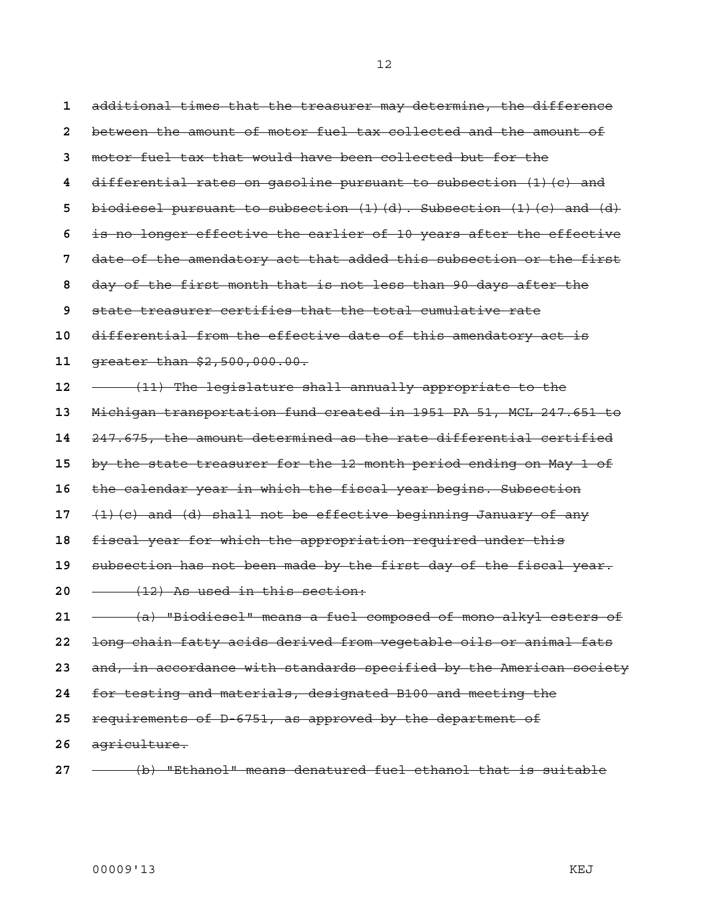additional times that the treasurer may determine, the difference between the amount of motor fuel tax collected and the amount of motor fuel tax that would have been collected but for the differential rates on gasoline pursuant to subsection (1)(c) and biodiesel pursuant to subsection (1)(d). Subsection (1)(c) and (d) is no longer effective the earlier of 10 years after the effective date of the amendatory act that added this subsection or the first day of the first month that is not less than 90 days after the state treasurer certifies that the total cumulative rate differential from the effective date of this amendatory act is greater than \$2,500,000.00. **- (11)** The legislature shall annually appropriate to the Michigan transportation fund created in 1951 PA 51, MCL 247.651 to 247.675, the amount determined as the rate differential certified by the state treasurer for the 12-month period ending on May 1 of the calendar year in which the fiscal year begins. Subsection (1)(c) and (d) shall not be effective beginning January of any fiscal year for which the appropriation required under this subsection has not been made by the first day of the fiscal year. (12) As used in this section: (a) "Biodiesel" means a fuel composed of mono-alkyl esters of long chain fatty acids derived from vegetable oils or animal fats and, in accordance with standards specified by the American society for testing and materials, designated B100 and meeting the requirements of D-6751, as approved by the department of agriculture.

(b) "Ethanol" means denatured fuel ethanol that is suitable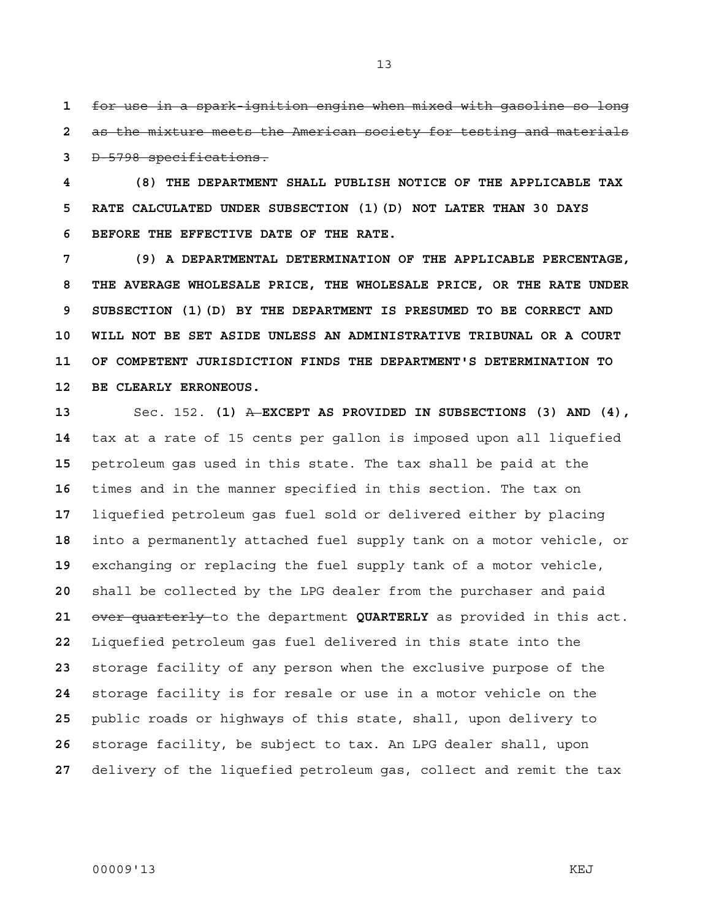for use in a spark-ignition engine when mixed with gasoline so long as the mixture meets the American society for testing and materials D-5798 specifications.

**4 (8) THE DEPARTMENT SHALL PUBLISH NOTICE OF THE APPLICABLE TAX 5 RATE CALCULATED UNDER SUBSECTION (1)(D) NOT LATER THAN 30 DAYS 6 BEFORE THE EFFECTIVE DATE OF THE RATE.** 

**7 (9) A DEPARTMENTAL DETERMINATION OF THE APPLICABLE PERCENTAGE, 8 THE AVERAGE WHOLESALE PRICE, THE WHOLESALE PRICE, OR THE RATE UNDER 9 SUBSECTION (1)(D) BY THE DEPARTMENT IS PRESUMED TO BE CORRECT AND 10 WILL NOT BE SET ASIDE UNLESS AN ADMINISTRATIVE TRIBUNAL OR A COURT 11 OF COMPETENT JURISDICTION FINDS THE DEPARTMENT'S DETERMINATION TO 12 BE CLEARLY ERRONEOUS.**

Sec. 152. **(1)** A **EXCEPT AS PROVIDED IN SUBSECTIONS (3) AND (4),**  tax at a rate of 15 cents per gallon is imposed upon all liquefied petroleum gas used in this state. The tax shall be paid at the times and in the manner specified in this section. The tax on liquefied petroleum gas fuel sold or delivered either by placing into a permanently attached fuel supply tank on a motor vehicle, or exchanging or replacing the fuel supply tank of a motor vehicle, shall be collected by the LPG dealer from the purchaser and paid over quarterly to the department **QUARTERLY** as provided in this act. Liquefied petroleum gas fuel delivered in this state into the storage facility of any person when the exclusive purpose of the storage facility is for resale or use in a motor vehicle on the public roads or highways of this state, shall, upon delivery to storage facility, be subject to tax. An LPG dealer shall, upon delivery of the liquefied petroleum gas, collect and remit the tax

## 00009'13 KEJ